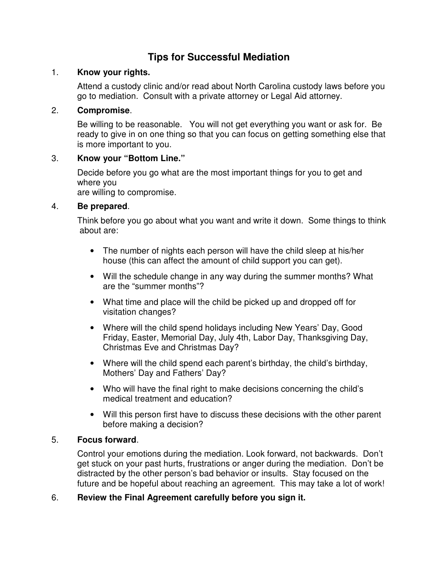# **Tips for Successful Mediation**

## 1. **Know your rights.**

Attend a custody clinic and/or read about North Carolina custody laws before you go to mediation. Consult with a private attorney or Legal Aid attorney.

## 2. **Compromise**.

Be willing to be reasonable. You will not get everything you want or ask for. Be ready to give in on one thing so that you can focus on getting something else that is more important to you.

# 3. **Know your "Bottom Line."**

Decide before you go what are the most important things for you to get and where you

are willing to compromise.

# 4. **Be prepared**.

Think before you go about what you want and write it down. Some things to think about are:

- The number of nights each person will have the child sleep at his/her house (this can affect the amount of child support you can get).
- Will the schedule change in any way during the summer months? What are the "summer months"?
- What time and place will the child be picked up and dropped off for visitation changes?
- Where will the child spend holidays including New Years' Day, Good Friday, Easter, Memorial Day, July 4th, Labor Day, Thanksgiving Day, Christmas Eve and Christmas Day?
- Where will the child spend each parent's birthday, the child's birthday, Mothers' Day and Fathers' Day?
- Who will have the final right to make decisions concerning the child's medical treatment and education?
- Will this person first have to discuss these decisions with the other parent before making a decision?

#### 5. **Focus forward**.

Control your emotions during the mediation. Look forward, not backwards. Don't get stuck on your past hurts, frustrations or anger during the mediation. Don't be distracted by the other person's bad behavior or insults. Stay focused on the future and be hopeful about reaching an agreement. This may take a lot of work!

#### 6. **Review the Final Agreement carefully before you sign it.**